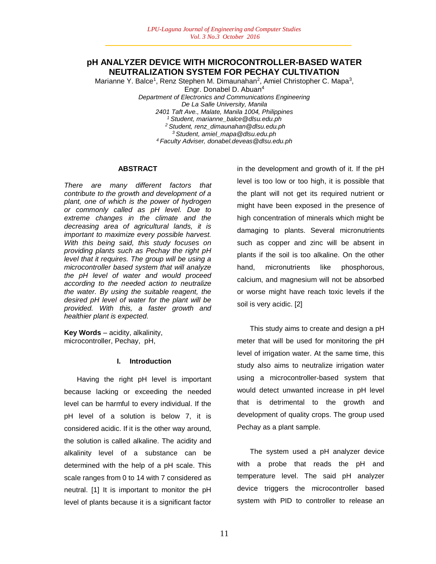## **pH ANALYZER DEVICE WITH MICROCONTROLLER-BASED WATER NEUTRALIZATION SYSTEM FOR PECHAY CULTIVATION**

Marianne Y. Balce<sup>1</sup>, Renz Stephen M. Dimaunahan<sup>2</sup>, Amiel Christopher C. Mapa<sup>3</sup>, Engr. Donabel D. Abuan<sup>4</sup>

*Department of Electronics and Communications Engineering De La Salle University, Manila 2401 Taft Ave., Malate, Manila 1004, Philippines <sup>1</sup>Student, marianne\_balce@dlsu.edu.ph <sup>2</sup>Student, renz\_dimaunahan@dlsu.edu.ph <sup>3</sup>Student, amiel\_mapa@dlsu.edu.ph <sup>4</sup>Faculty Adviser, donabel.deveas@dlsu.edu.ph*

#### **ABSTRACT**

*There are many different factors that contribute to the growth and development of a plant, one of which is the power of hydrogen or commonly called as pH level. Due to extreme changes in the climate and the decreasing area of agricultural lands, it is important to maximize every possible harvest. With this being said, this study focuses on providing plants such as Pechay the right pH level that it requires. The group will be using a microcontroller based system that will analyze the pH level of water and would proceed according to the needed action to neutralize the water. By using the suitable reagent, the desired pH level of water for the plant will be provided. With this, a faster growth and healthier plant is expected.*

**Key Words** – acidity, alkalinity, microcontroller, Pechay, pH,

#### **I. Introduction**

Having the right pH level is important because lacking or exceeding the needed level can be harmful to every individual. If the pH level of a solution is below 7, it is considered acidic. If it is the other way around, the solution is called alkaline. The acidity and alkalinity level of a substance can be determined with the help of a pH scale. This scale ranges from 0 to 14 with 7 considered as neutral. [1] It is important to monitor the pH level of plants because it is a significant factor in the development and growth of it. If the pH level is too low or too high, it is possible that the plant will not get its required nutrient or might have been exposed in the presence of high concentration of minerals which might be damaging to plants. Several micronutrients such as copper and zinc will be absent in plants if the soil is too alkaline. On the other hand, micronutrients like phosphorous, calcium, and magnesium will not be absorbed or worse might have reach toxic levels if the soil is very acidic. [2]

This study aims to create and design a pH meter that will be used for monitoring the pH level of irrigation water. At the same time, this study also aims to neutralize irrigation water using a microcontroller-based system that would detect unwanted increase in pH level that is detrimental to the growth and development of quality crops. The group used Pechay as a plant sample.

The system used a pH analyzer device with a probe that reads the pH and temperature level. The said pH analyzer device triggers the microcontroller based system with PID to controller to release an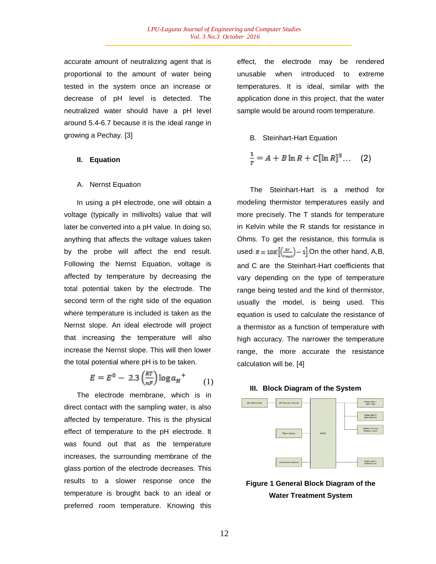accurate amount of neutralizing agent that is proportional to the amount of water being tested in the system once an increase or decrease of pH level is detected. The neutralized water should have a pH level around 5.4-6.7 because it is the ideal range in growing a Pechay. [3]

### **II. Equation**

#### A. Nernst Equation

In using a pH electrode, one will obtain a voltage (typically in millivolts) value that will later be converted into a pH value. In doing so, anything that affects the voltage values taken by the probe will affect the end result. Following the Nernst Equation, voltage is affected by temperature by decreasing the total potential taken by the electrode. The second term of the right side of the equation where temperature is included is taken as the Nernst slope. An ideal electrode will project that increasing the temperature will also increase the Nernst slope. This will then lower the total potential where pH is to be taken.

$$
E = E^0 - 2.3 \left(\frac{RT}{nF}\right) \log a_H^+ \tag{1}
$$

The electrode membrane, which is in direct contact with the sampling water, is also affected by temperature. This is the physical effect of temperature to the pH electrode. It was found out that as the temperature increases, the surrounding membrane of the glass portion of the electrode decreases. This results to a slower response once the temperature is brought back to an ideal or preferred room temperature. Knowing this

effect, the electrode may be rendered unusable when introduced to extreme temperatures. It is ideal, similar with the application done in this project, that the water sample would be around room temperature.

#### B. Steinhart-Hart Equation

$$
\frac{1}{r} = A + B \ln R + C[\ln R]^3 \tag{2}
$$

The Steinhart-Hart is a method for modeling thermistor temperatures easily and more precisely. The T stands for temperature in Kelvin while the R stands for resistance in Ohms. To get the resistance, this formula is used:  $R = 10K \left[ \left( \frac{IV}{W_{max}} \right) - 1 \right]$  On the other hand, A,B, and C are the Steinhart-Hart coefficients that vary depending on the type of temperature range being tested and the kind of thermistor, usually the model, is being used. This equation is used to calculate the resistance of a thermistor as a function of temperature with high accuracy. The narrower the temperature range, the more accurate the resistance calculation will be. [4]





**Figure 1 General Block Diagram of the Water Treatment System**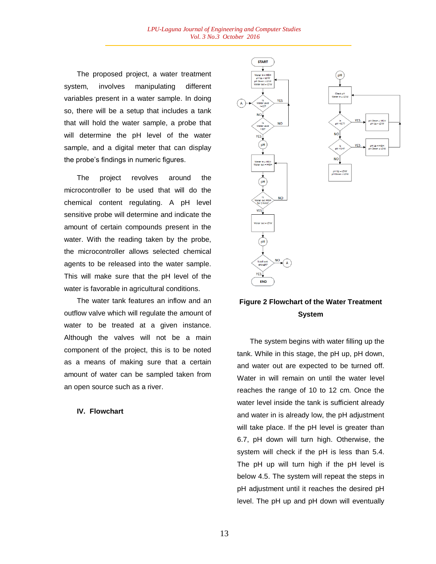The proposed project, a water treatment system, involves manipulating different variables present in a water sample. In doing so, there will be a setup that includes a tank that will hold the water sample, a probe that will determine the pH level of the water sample, and a digital meter that can display the probe's findings in numeric figures.

The project revolves around the microcontroller to be used that will do the chemical content regulating. A pH level sensitive probe will determine and indicate the amount of certain compounds present in the water. With the reading taken by the probe, the microcontroller allows selected chemical agents to be released into the water sample. This will make sure that the pH level of the water is favorable in agricultural conditions.

The water tank features an inflow and an outflow valve which will regulate the amount of water to be treated at a given instance. Although the valves will not be a main component of the project, this is to be noted as a means of making sure that a certain amount of water can be sampled taken from an open source such as a river.

#### **IV. Flowchart**





# **Figure 2 Flowchart of the Water Treatment System**

The system begins with water filling up the tank. While in this stage, the pH up, pH down, and water out are expected to be turned off. Water in will remain on until the water level reaches the range of 10 to 12 cm. Once the water level inside the tank is sufficient already and water in is already low, the pH adjustment will take place. If the pH level is greater than 6.7, pH down will turn high. Otherwise, the system will check if the pH is less than 5.4. The pH up will turn high if the pH level is below 4.5. The system will repeat the steps in pH adjustment until it reaches the desired pH level. The pH up and pH down will eventually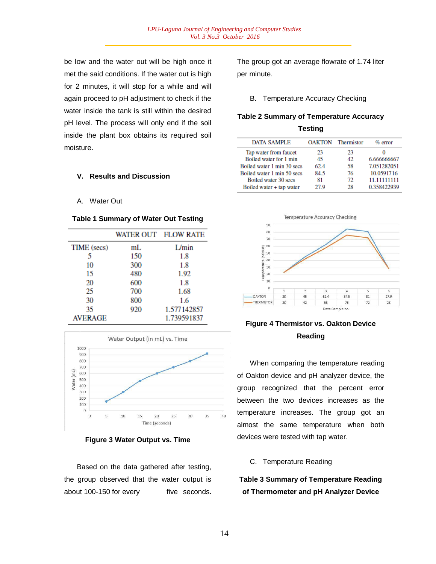be low and the water out will be high once it met the said conditions. If the water out is high for 2 minutes, it will stop for a while and will again proceed to pH adjustment to check if the water inside the tank is still within the desired pH level. The process will only end if the soil inside the plant box obtains its required soil moisture.

### **V. Results and Discussion**

A. Water Out

#### **Table 1 Summary of Water Out Testing**

|                |     | WATER OUT FLOW RATE |
|----------------|-----|---------------------|
| TIME (secs)    | mL  | L/min               |
| 5              | 150 | 1.8                 |
| 10             | 300 | 1.8                 |
| 15             | 480 | 1.92                |
| 20             | 600 | 1.8                 |
| 25             | 700 | 1.68                |
| 30             | 800 | 1.6                 |
| 35             | 920 | 1.577142857         |
| <b>AVERAGE</b> |     | 1.739591837         |



**Figure 3 Water Output vs. Time**

Based on the data gathered after testing, the group observed that the water output is about 100-150 for every five seconds. The group got an average flowrate of 1.74 liter per minute.

B. Temperature Accuracy Checking

# **Table 2 Summary of Temperature Accuracy Testing**

| <b>DATA SAMPLE</b>         |      | <b>OAKTON</b> Thermistor | $\%$ error  |
|----------------------------|------|--------------------------|-------------|
| Tap water from faucet      | 23   | 23                       |             |
| Boiled water for 1 min     | 45   | 42                       | 6.666666667 |
| Boiled water 1 min 30 secs | 62.4 | 58                       | 7.051282051 |
| Boiled water 1 min 50 secs | 84.5 | 76                       | 10.0591716  |
| Boiled water 30 secs       | 81   | 72                       | 11.11111111 |
| Boiled water + tap water   | 27 Q | 28                       | 0.358422939 |



# **Figure 4 Thermistor vs. Oakton Device Reading**

When comparing the temperature reading of Oakton device and pH analyzer device, the group recognized that the percent error between the two devices increases as the temperature increases. The group got an almost the same temperature when both devices were tested with tap water.

### C. Temperature Reading

**Table 3 Summary of Temperature Reading of Thermometer and pH Analyzer Device**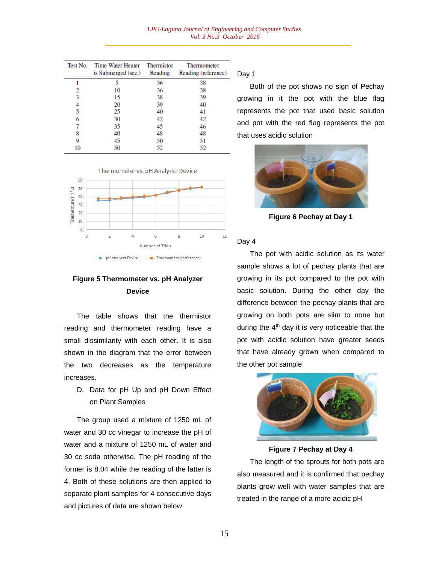| Test No. | Time Water Heater<br>is Submerged (sec.) | Thermistor<br>Reading | Thermometer<br>Reading (reference) |
|----------|------------------------------------------|-----------------------|------------------------------------|
|          |                                          | 36                    | 38                                 |
| 2        | 10                                       | 36                    | 38                                 |
| 3        | 15                                       | 38                    | 39                                 |
|          | 20                                       | 39                    | 40                                 |
| 5        | 25                                       | 40                    | 41                                 |
| 6        | 30                                       | 42                    | 42                                 |
|          | 35                                       | 45                    | 46                                 |
| 8        | 40                                       | 48                    | 48                                 |
| 9        | 45                                       | 50                    | 51                                 |
| 10       | 50                                       | 52                    | 52                                 |





# **Figure 5 Thermometer vs. pH Analyzer Device**

The table shows that the thermistor reading and thermometer reading have a small dissimilarity with each other. It is also shown in the diagram that the error between the two decreases as the temperature increases.

D. Data for pH Up and pH Down Effect on Plant Samples

The group used a mixture of 1250 mL of water and 30 cc vinegar to increase the pH of water and a mixture of 1250 mL of water and 30 cc soda otherwise. The pH reading of the former is 8.04 while the reading of the latter is 4. Both of these solutions are then applied to separate plant samples for 4 consecutive days and pictures of data are shown below

Day 1

Both of the pot shows no sign of Pechay growing in it the pot with the blue flag represents the pot that used basic solution and pot with the red flag represents the pot that uses acidic solution



**Figure 6 Pechay at Day 1**

#### Day 4

The pot with acidic solution as its water sample shows a lot of pechay plants that are growing in its pot compared to the pot with basic solution. During the other day the difference between the pechay plants that are growing on both pots are slim to none but during the  $4<sup>th</sup>$  day it is very noticeable that the pot with acidic solution have greater seeds that have already grown when compared to the other pot sample.



**Figure 7 Pechay at Day 4**

The length of the sprouts for both pots are also measured and it is confirmed that pechay plants grow well with water samples that are treated in the range of a more acidic pH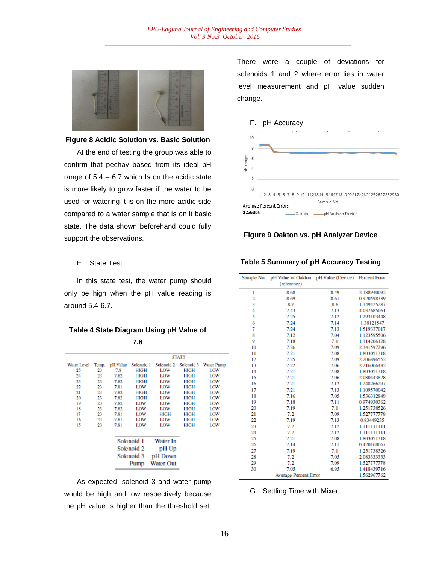

#### **Figure 8 Acidic Solution vs. Basic Solution**

At the end of testing the group was able to confirm that pechay based from its ideal pH range of  $5.4 - 6.7$  which Is on the acidic state is more likely to grow faster if the water to be used for watering it is on the more acidic side compared to a water sample that is on it basic state. The data shown beforehand could fully support the observations.

## E. State Test

In this state test, the water pump should only be high when the pH value reading is around 5.4-6.7.

**Table 4 State Diagram Using pH Value of 7.8**

|                    |       |          |             |                  | <b>STATE</b> |                   |
|--------------------|-------|----------|-------------|------------------|--------------|-------------------|
| <b>Water Level</b> | Temp. | pH Value | Solenoid 1  | Solenoid 2       | Solenoid 3   | <b>Water Pump</b> |
| 25                 | 23    | 7.8      | HIGH        | LOW              | HIGH         | LOW               |
| 24                 | 23    | 7.82     | HIGH        | LOW              | HIGH         | LOW               |
| 23                 | 23    | 7.82     | HIGH        | LOW              | HIGH         | LOW               |
| 22                 | 23    | 7.81     | LOW         | LOW              | HIGH         | LOW               |
| 21                 | 23    | 7.82     | HIGH        | LOW              | HIGH         | LOW               |
| 20                 | 23    | 7.82     | <b>HIGH</b> | LOW              | <b>HIGH</b>  | LOW               |
| 19                 | 23    | 7.82     | LOW         | LOW              | HIGH         | LOW               |
| 18                 | 23    | 7.82     | LOW         | LOW              | HIGH         | LOW               |
| 17                 | 23    | 7.81     | LOW         | HIGH             | HIGH         | LOW               |
| 16                 | 23    | 7.81     | LOW         | LOW              | HIGH         | LOW               |
| 15                 | 23    | 7.81     | LOW         | LOW              | HIGH         | LOW               |
|                    |       |          |             |                  |              |                   |
|                    |       |          | Solenoid 1  | Water In         |              |                   |
|                    |       |          | Solenoid 2  | pH Up            |              |                   |
|                    |       |          | Solenoid 3  | pH Down          |              |                   |
|                    |       |          | Pump        | <b>Water Out</b> |              |                   |

# As expected, solenoid 3 and water pump would be high and low respectively because the pH value is higher than the threshold set.

There were a couple of deviations for solenoids 1 and 2 where error lies in water level measurement and pH value sudden change.

#### F. pH Accuracy



#### **Figure 9 Oakton vs. pH Analyzer Device**

## **Table 5 Summary of pH Accuracy Testing**

| Sample No.                   |             | pH Value of Oakton pH Value (Device) |             |
|------------------------------|-------------|--------------------------------------|-------------|
|                              | (reference) |                                      |             |
| 1                            | 8.68        | 8.49                                 | 2.188940092 |
| 2                            | 8.69        | 8.61                                 | 0.920598389 |
| 3                            | 8.7         | 8.6                                  | 1.149425287 |
| 4                            | 7.43        | 7.13                                 | 4.037685061 |
| 5                            | 7.25        | 7.12                                 | 1.793103448 |
| 6                            | 7.24        | 7.14                                 | 1.38121547  |
| 7                            | 7.24        | 7.13                                 | 1.519337017 |
| 8                            | 7.12        | 7.04                                 | 1.123595506 |
| 9                            | 7.18        | 7.1                                  | 1.114206128 |
| 10                           | 7.26        | 7.09                                 | 2.341597796 |
| 11                           | 7.21        | 7.08                                 | 1.803051318 |
| 12                           | 7.25        | 7.09                                 | 2.206896552 |
| 13                           | 7.22        | 7.06                                 | 2.216066482 |
| 14                           | 7.21        | 7.08                                 | 1.803051318 |
| 15                           | 7.21        | 7.06                                 | 2.080443828 |
| 16                           | 7.21        | 7.12                                 | 1.248266297 |
| 17                           | 7.21        | 7.13                                 | 1.109570042 |
| 18                           | 7.16        | 7.05                                 | 1.536312849 |
| 19                           | 7.18        | 7.11                                 | 0.974930362 |
| 20                           | 7.19        | 7.1                                  | 1.251738526 |
| 21                           | 7.2         | 7.09                                 | 1.527777778 |
| 22                           | 7.19        | 7.13                                 | 0.83449235  |
| 23                           | 7.2         | 7.12                                 | 1.111111111 |
| 24                           | 7.2         | 7.12                                 | 1.111111111 |
| 25                           | 7.21        | 7.08                                 | 1.803051318 |
| 26                           | 7.14        | 7.11                                 | 0.420168067 |
| 27                           | 7.19        | 7.1                                  | 1.251738526 |
| 28                           | 7.2         | 7.05                                 | 2.083333333 |
| 29                           | 7.2         | 7.09                                 | 1.527777778 |
| 30                           | 7.05        | 6.95                                 | 1.418439716 |
| <b>Average Percent Error</b> |             |                                      | 1.562967762 |

#### G. Settling Time with Mixer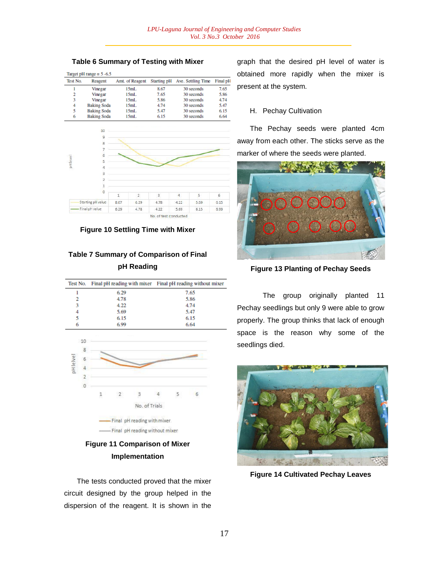#### **Table 6 Summary of Testing with Mixer**

|          | Target pH range $= 5 - 6.5$ |                 |      |                                |          |
|----------|-----------------------------|-----------------|------|--------------------------------|----------|
| Test No. | Reagent                     | Amt. of Reagent |      | Starting pH Ave. Settling Time | Final pH |
|          | Vinegar                     | 15mL            | 8.67 | 30 seconds                     | 7.65     |
| 2        | Vinegar                     | 15mL            | 7.65 | 30 seconds                     | 5.86     |
| 3        | Vinegar                     | 15mL            | 5.86 | 30 seconds                     | 4.74     |
| 4        | <b>Baking Soda</b>          | 15mL            | 4.74 | 30 seconds                     | 5.47     |
| 5        | <b>Baking Soda</b>          | 15mL            | 5.47 | 30 seconds                     | 6.15     |
| 6        | <b>Baking Soda</b>          | 15mL            | 6.15 | 30 seconds                     | 6.64     |



**Figure 10 Settling Time with Mixer**

# **Table 7 Summary of Comparison of Final pH Reading**

|   |      | Test No. Final pH reading with mixer Final pH reading without mixer |
|---|------|---------------------------------------------------------------------|
|   | 6.29 | 7.65                                                                |
| 2 | 4.78 | 5.86                                                                |
| 3 | 4.22 | 4.74                                                                |
| 4 | 5.69 | 5.47                                                                |
| 5 | 6.15 | 6.15                                                                |
| 6 | 6.99 | 6.64                                                                |



# **Figure 11 Comparison of Mixer Implementation**

The tests conducted proved that the mixer circuit designed by the group helped in the dispersion of the reagent. It is shown in the

graph that the desired pH level of water is obtained more rapidly when the mixer is present at the system.

#### H. Pechay Cultivation

The Pechay seeds were planted 4cm away from each other. The sticks serve as the marker of where the seeds were planted.



**Figure 13 Planting of Pechay Seeds**

The group originally planted 11 Pechay seedlings but only 9 were able to grow properly. The group thinks that lack of enough space is the reason why some of the seedlings died.



**Figure 14 Cultivated Pechay Leaves**